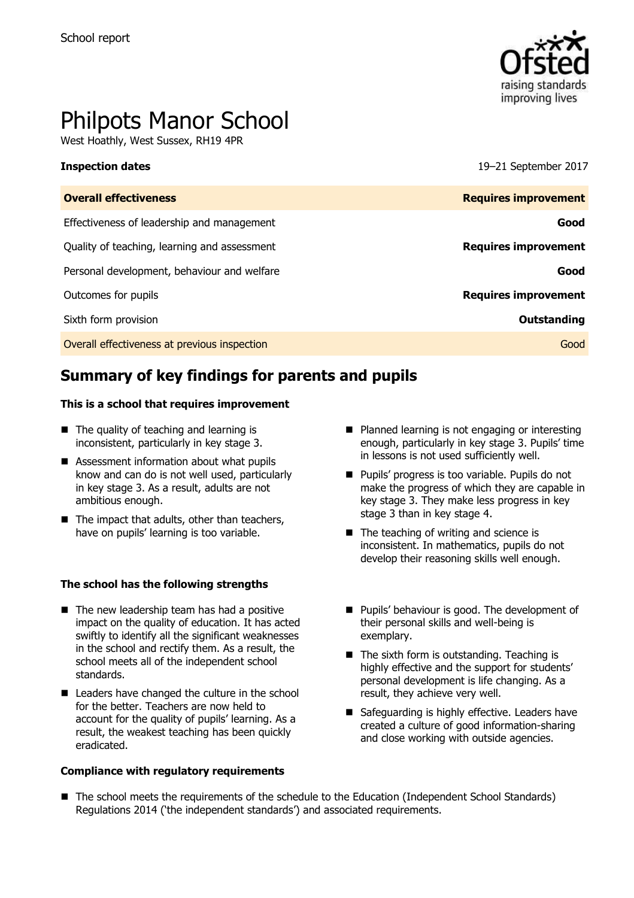

# Philpots Manor School

West Hoathly, West Sussex, RH19 4PR

**Inspection dates** 19–21 September 2017

| <b>Overall effectiveness</b>                 | <b>Requires improvement</b> |
|----------------------------------------------|-----------------------------|
| Effectiveness of leadership and management   | Good                        |
| Quality of teaching, learning and assessment | <b>Requires improvement</b> |
| Personal development, behaviour and welfare  | Good                        |
| Outcomes for pupils                          | <b>Requires improvement</b> |
| Sixth form provision                         | <b>Outstanding</b>          |
| Overall effectiveness at previous inspection | Good                        |
|                                              |                             |

# **Summary of key findings for parents and pupils**

#### **This is a school that requires improvement**

- The quality of teaching and learning is inconsistent, particularly in key stage 3.
- Assessment information about what pupils know and can do is not well used, particularly in key stage 3. As a result, adults are not ambitious enough.
- $\blacksquare$  The impact that adults, other than teachers, have on pupils' learning is too variable.

#### **The school has the following strengths**

- $\blacksquare$  The new leadership team has had a positive impact on the quality of education. It has acted swiftly to identify all the significant weaknesses in the school and rectify them. As a result, the school meets all of the independent school standards.
- Leaders have changed the culture in the school for the better. Teachers are now held to account for the quality of pupils' learning. As a result, the weakest teaching has been quickly eradicated.

#### **Compliance with regulatory requirements**

- **Planned learning is not engaging or interesting** enough, particularly in key stage 3. Pupils' time in lessons is not used sufficiently well.
- **Pupils' progress is too variable. Pupils do not** make the progress of which they are capable in key stage 3. They make less progress in key stage 3 than in key stage 4.
- The teaching of writing and science is inconsistent. In mathematics, pupils do not develop their reasoning skills well enough.
- **Pupils' behaviour is good. The development of** their personal skills and well-being is exemplary.
- The sixth form is outstanding. Teaching is highly effective and the support for students' personal development is life changing. As a result, they achieve very well.
- Safeguarding is highly effective. Leaders have created a culture of good information-sharing and close working with outside agencies.
- The school meets the requirements of the schedule to the Education (Independent School Standards) Regulations 2014 ('the independent standards') and associated requirements.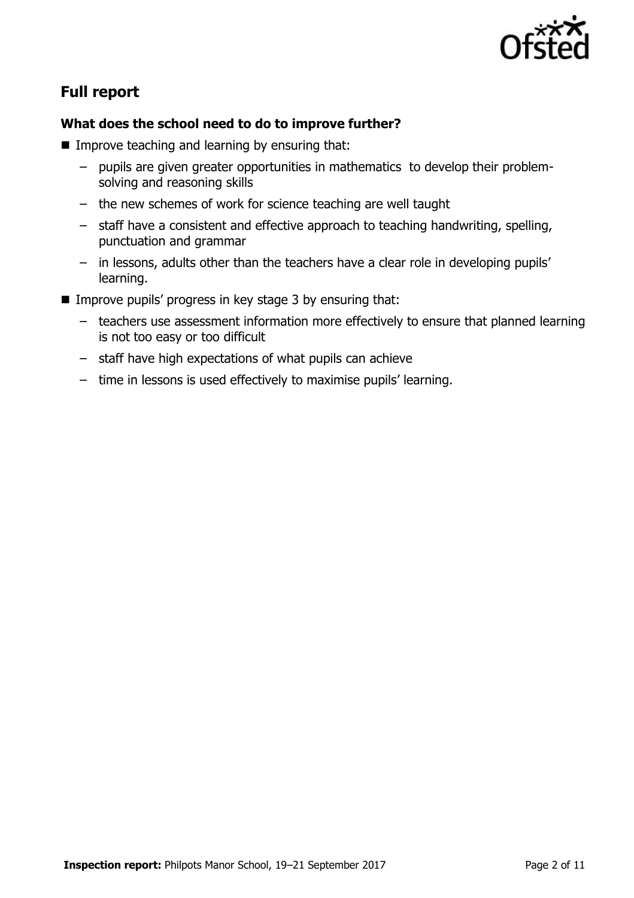

# **Full report**

### **What does the school need to do to improve further?**

- $\blacksquare$  Improve teaching and learning by ensuring that:
	- pupils are given greater opportunities in mathematics to develop their problemsolving and reasoning skills
	- the new schemes of work for science teaching are well taught
	- staff have a consistent and effective approach to teaching handwriting, spelling, punctuation and grammar
	- in lessons, adults other than the teachers have a clear role in developing pupils' learning.
- Improve pupils' progress in key stage 3 by ensuring that:
	- teachers use assessment information more effectively to ensure that planned learning is not too easy or too difficult
	- staff have high expectations of what pupils can achieve
	- time in lessons is used effectively to maximise pupils' learning.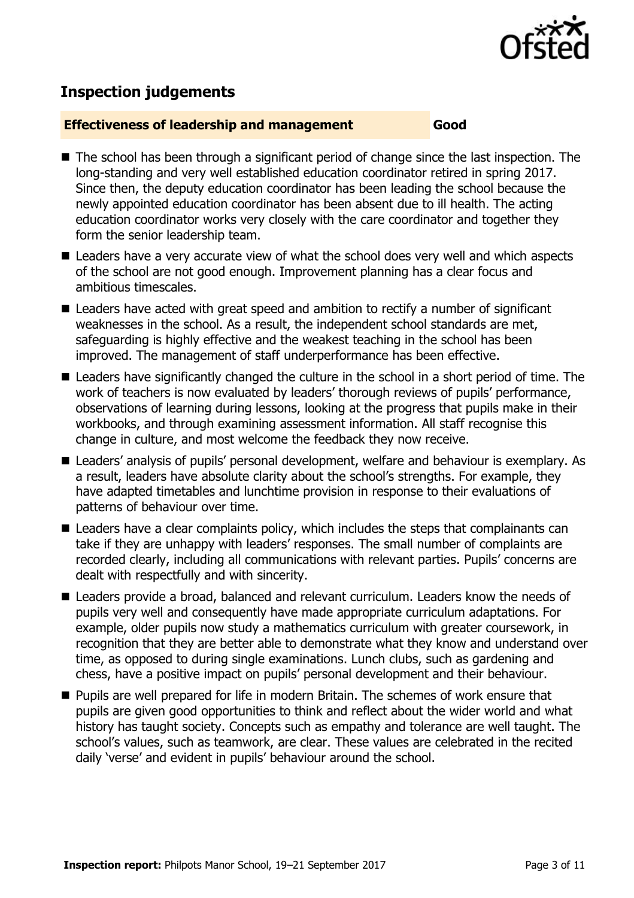

# **Inspection judgements**

#### **Effectiveness of leadership and management Good**

- The school has been through a significant period of change since the last inspection. The long-standing and very well established education coordinator retired in spring 2017. Since then, the deputy education coordinator has been leading the school because the newly appointed education coordinator has been absent due to ill health. The acting education coordinator works very closely with the care coordinator and together they form the senior leadership team.
- Leaders have a very accurate view of what the school does very well and which aspects of the school are not good enough. Improvement planning has a clear focus and ambitious timescales.
- Leaders have acted with great speed and ambition to rectify a number of significant weaknesses in the school. As a result, the independent school standards are met, safeguarding is highly effective and the weakest teaching in the school has been improved. The management of staff underperformance has been effective.
- Leaders have significantly changed the culture in the school in a short period of time. The work of teachers is now evaluated by leaders' thorough reviews of pupils' performance, observations of learning during lessons, looking at the progress that pupils make in their workbooks, and through examining assessment information. All staff recognise this change in culture, and most welcome the feedback they now receive.
- Leaders' analysis of pupils' personal development, welfare and behaviour is exemplary. As a result, leaders have absolute clarity about the school's strengths. For example, they have adapted timetables and lunchtime provision in response to their evaluations of patterns of behaviour over time.
- Leaders have a clear complaints policy, which includes the steps that complainants can take if they are unhappy with leaders' responses. The small number of complaints are recorded clearly, including all communications with relevant parties. Pupils' concerns are dealt with respectfully and with sincerity.
- Leaders provide a broad, balanced and relevant curriculum. Leaders know the needs of pupils very well and consequently have made appropriate curriculum adaptations. For example, older pupils now study a mathematics curriculum with greater coursework, in recognition that they are better able to demonstrate what they know and understand over time, as opposed to during single examinations. Lunch clubs, such as gardening and chess, have a positive impact on pupils' personal development and their behaviour.
- **Pupils are well prepared for life in modern Britain. The schemes of work ensure that** pupils are given good opportunities to think and reflect about the wider world and what history has taught society. Concepts such as empathy and tolerance are well taught. The school's values, such as teamwork, are clear. These values are celebrated in the recited daily 'verse' and evident in pupils' behaviour around the school.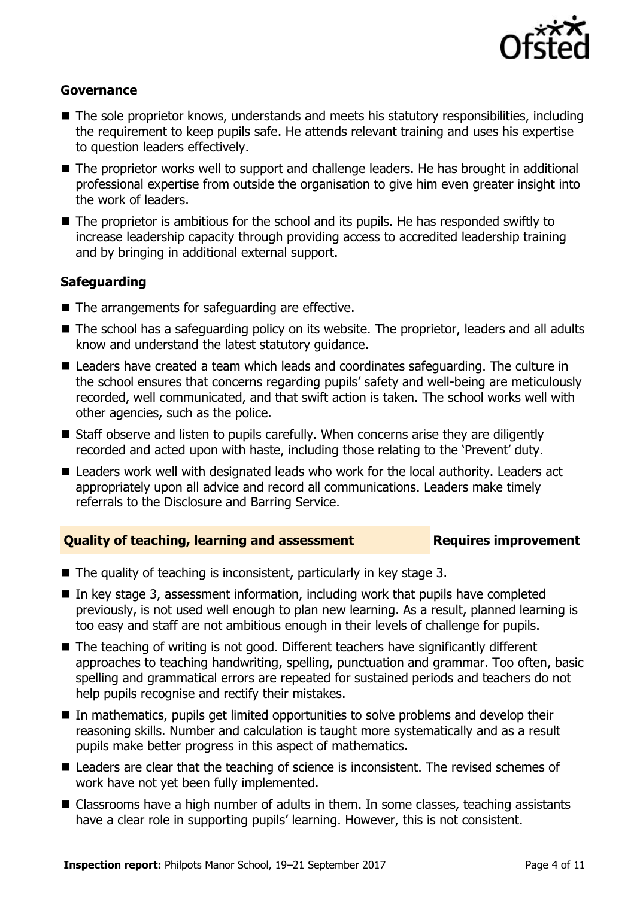

#### **Governance**

- The sole proprietor knows, understands and meets his statutory responsibilities, including the requirement to keep pupils safe. He attends relevant training and uses his expertise to question leaders effectively.
- The proprietor works well to support and challenge leaders. He has brought in additional professional expertise from outside the organisation to give him even greater insight into the work of leaders.
- The proprietor is ambitious for the school and its pupils. He has responded swiftly to increase leadership capacity through providing access to accredited leadership training and by bringing in additional external support.

### **Safeguarding**

- The arrangements for safeguarding are effective.
- The school has a safeguarding policy on its website. The proprietor, leaders and all adults know and understand the latest statutory guidance.
- Leaders have created a team which leads and coordinates safeguarding. The culture in the school ensures that concerns regarding pupils' safety and well-being are meticulously recorded, well communicated, and that swift action is taken. The school works well with other agencies, such as the police.
- Staff observe and listen to pupils carefully. When concerns arise they are diligently recorded and acted upon with haste, including those relating to the 'Prevent' duty.
- Leaders work well with designated leads who work for the local authority. Leaders act appropriately upon all advice and record all communications. Leaders make timely referrals to the Disclosure and Barring Service.

#### **Quality of teaching, learning and assessment <b>Requires improvement**

- $\blacksquare$  The quality of teaching is inconsistent, particularly in key stage 3.
- $\blacksquare$  In key stage 3, assessment information, including work that pupils have completed previously, is not used well enough to plan new learning. As a result, planned learning is too easy and staff are not ambitious enough in their levels of challenge for pupils.
- The teaching of writing is not good. Different teachers have significantly different approaches to teaching handwriting, spelling, punctuation and grammar. Too often, basic spelling and grammatical errors are repeated for sustained periods and teachers do not help pupils recognise and rectify their mistakes.
- In mathematics, pupils get limited opportunities to solve problems and develop their reasoning skills. Number and calculation is taught more systematically and as a result pupils make better progress in this aspect of mathematics.
- Leaders are clear that the teaching of science is inconsistent. The revised schemes of work have not yet been fully implemented.
- Classrooms have a high number of adults in them. In some classes, teaching assistants have a clear role in supporting pupils' learning. However, this is not consistent.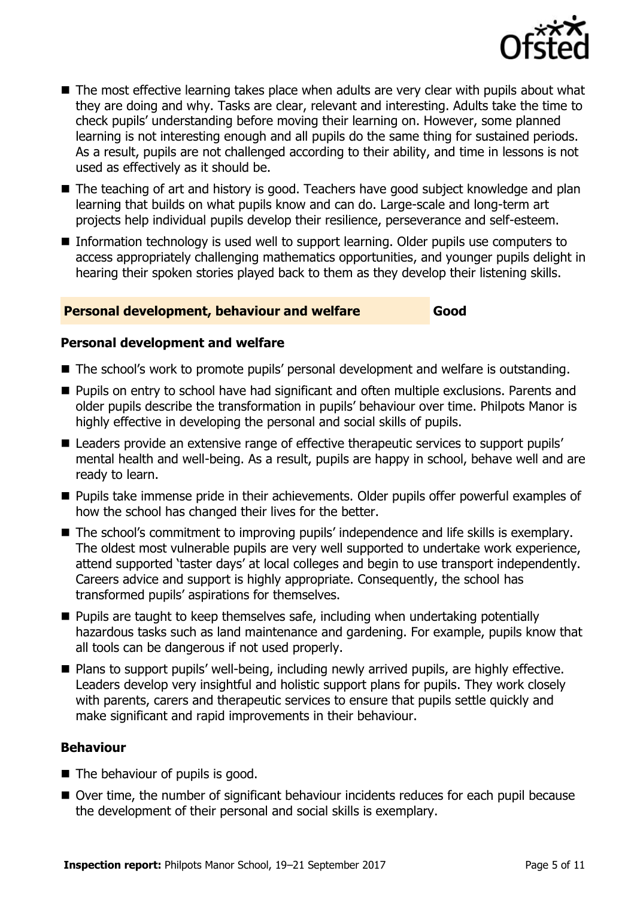

- The most effective learning takes place when adults are very clear with pupils about what they are doing and why. Tasks are clear, relevant and interesting. Adults take the time to check pupils' understanding before moving their learning on. However, some planned learning is not interesting enough and all pupils do the same thing for sustained periods. As a result, pupils are not challenged according to their ability, and time in lessons is not used as effectively as it should be.
- The teaching of art and history is good. Teachers have good subject knowledge and plan learning that builds on what pupils know and can do. Large-scale and long-term art projects help individual pupils develop their resilience, perseverance and self-esteem.
- Information technology is used well to support learning. Older pupils use computers to access appropriately challenging mathematics opportunities, and younger pupils delight in hearing their spoken stories played back to them as they develop their listening skills.

#### **Personal development, behaviour and welfare Good**

#### **Personal development and welfare**

- The school's work to promote pupils' personal development and welfare is outstanding.
- **Pupils on entry to school have had significant and often multiple exclusions. Parents and** older pupils describe the transformation in pupils' behaviour over time. Philpots Manor is highly effective in developing the personal and social skills of pupils.
- Leaders provide an extensive range of effective therapeutic services to support pupils' mental health and well-being. As a result, pupils are happy in school, behave well and are ready to learn.
- **Pupils take immense pride in their achievements. Older pupils offer powerful examples of** how the school has changed their lives for the better.
- The school's commitment to improving pupils' independence and life skills is exemplary. The oldest most vulnerable pupils are very well supported to undertake work experience, attend supported 'taster days' at local colleges and begin to use transport independently. Careers advice and support is highly appropriate. Consequently, the school has transformed pupils' aspirations for themselves.
- $\blacksquare$  Pupils are taught to keep themselves safe, including when undertaking potentially hazardous tasks such as land maintenance and gardening. For example, pupils know that all tools can be dangerous if not used properly.
- Plans to support pupils' well-being, including newly arrived pupils, are highly effective. Leaders develop very insightful and holistic support plans for pupils. They work closely with parents, carers and therapeutic services to ensure that pupils settle quickly and make significant and rapid improvements in their behaviour.

### **Behaviour**

- The behaviour of pupils is good.
- Over time, the number of significant behaviour incidents reduces for each pupil because the development of their personal and social skills is exemplary.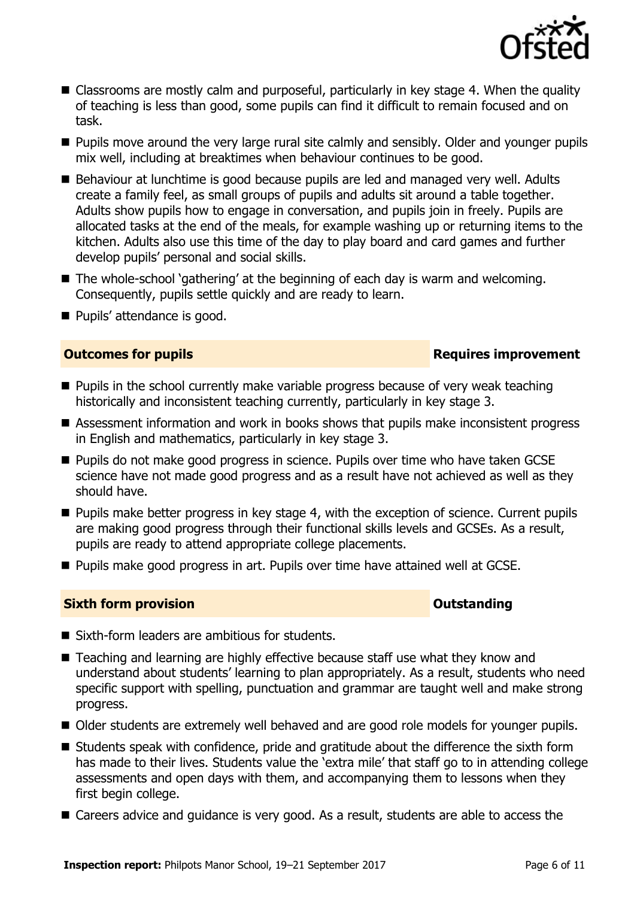

- Classrooms are mostly calm and purposeful, particularly in key stage 4. When the quality of teaching is less than good, some pupils can find it difficult to remain focused and on task.
- **Pupils move around the very large rural site calmly and sensibly. Older and younger pupils** mix well, including at breaktimes when behaviour continues to be good.
- Behaviour at lunchtime is good because pupils are led and managed very well. Adults create a family feel, as small groups of pupils and adults sit around a table together. Adults show pupils how to engage in conversation, and pupils join in freely. Pupils are allocated tasks at the end of the meals, for example washing up or returning items to the kitchen. Adults also use this time of the day to play board and card games and further develop pupils' personal and social skills.
- The whole-school 'gathering' at the beginning of each day is warm and welcoming. Consequently, pupils settle quickly and are ready to learn.
- **Pupils' attendance is good.**

### **Outcomes for pupils Requires improvement**

- **Pupils in the school currently make variable progress because of very weak teaching** historically and inconsistent teaching currently, particularly in key stage 3.
- Assessment information and work in books shows that pupils make inconsistent progress in English and mathematics, particularly in key stage 3.
- **Pupils do not make good progress in science. Pupils over time who have taken GCSE** science have not made good progress and as a result have not achieved as well as they should have.
- $\blacksquare$  Pupils make better progress in key stage 4, with the exception of science. Current pupils are making good progress through their functional skills levels and GCSEs. As a result, pupils are ready to attend appropriate college placements.
- Pupils make good progress in art. Pupils over time have attained well at GCSE.

#### **Sixth form provision CONSISTER SIXTERS IN A SIXTER SIXTER SIXTER SIXTERS IN A SIXTER SIXTER SIXTERS IN A SIXTER**

- Sixth-form leaders are ambitious for students.
- Teaching and learning are highly effective because staff use what they know and understand about students' learning to plan appropriately. As a result, students who need specific support with spelling, punctuation and grammar are taught well and make strong progress.
- Older students are extremely well behaved and are good role models for younger pupils.
- Students speak with confidence, pride and gratitude about the difference the sixth form has made to their lives. Students value the 'extra mile' that staff go to in attending college assessments and open days with them, and accompanying them to lessons when they first begin college.
- Careers advice and quidance is very good. As a result, students are able to access the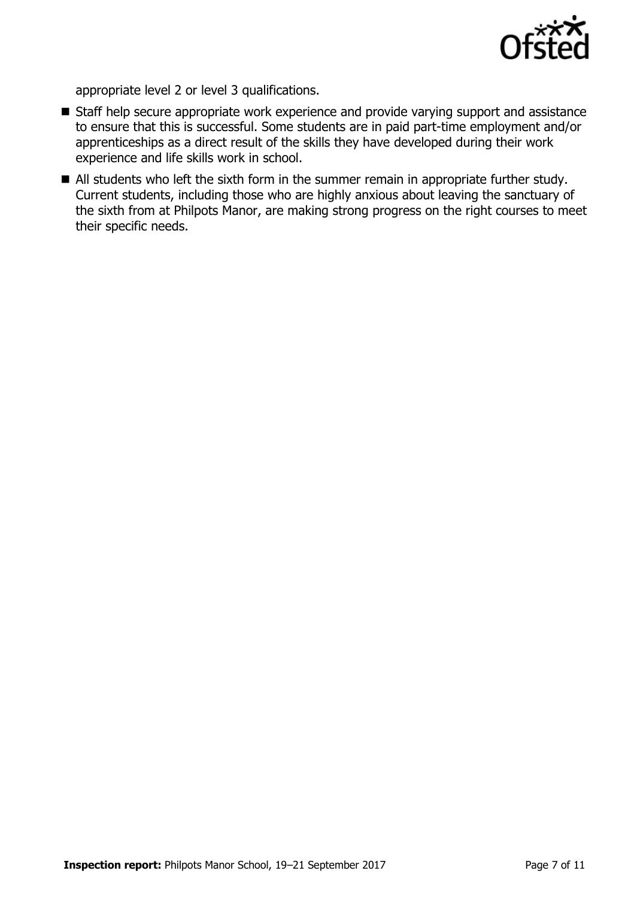

appropriate level 2 or level 3 qualifications.

- Staff help secure appropriate work experience and provide varying support and assistance to ensure that this is successful. Some students are in paid part-time employment and/or apprenticeships as a direct result of the skills they have developed during their work experience and life skills work in school.
- All students who left the sixth form in the summer remain in appropriate further study. Current students, including those who are highly anxious about leaving the sanctuary of the sixth from at Philpots Manor, are making strong progress on the right courses to meet their specific needs.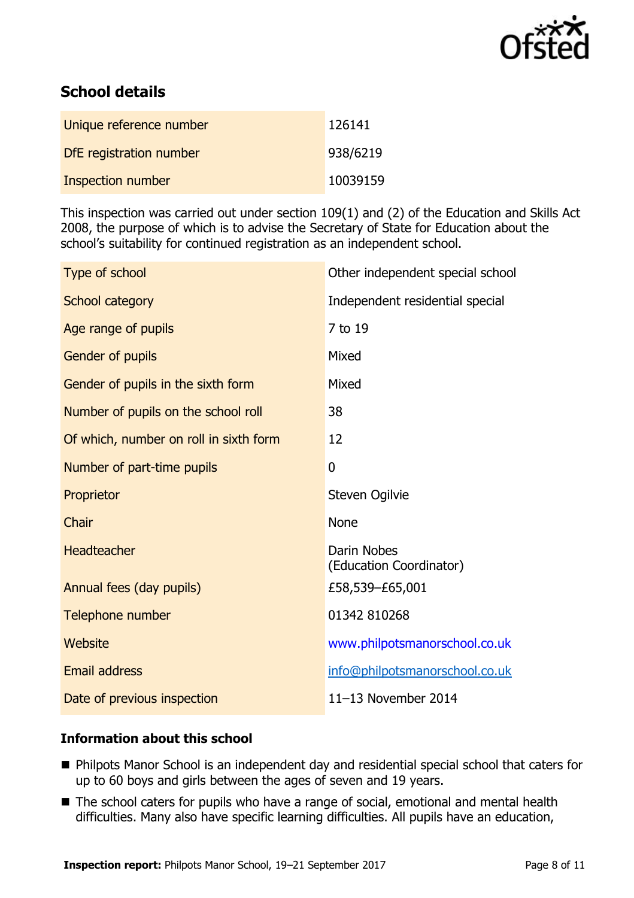

# **School details**

| Unique reference number | 126141   |
|-------------------------|----------|
| DfE registration number | 938/6219 |
| Inspection number       | 10039159 |

This inspection was carried out under section 109(1) and (2) of the Education and Skills Act 2008, the purpose of which is to advise the Secretary of State for Education about the school's suitability for continued registration as an independent school.

| Type of school                         | Other independent special school       |
|----------------------------------------|----------------------------------------|
| School category                        | Independent residential special        |
| Age range of pupils                    | 7 to 19                                |
| <b>Gender of pupils</b>                | Mixed                                  |
| Gender of pupils in the sixth form     | Mixed                                  |
| Number of pupils on the school roll    | 38                                     |
| Of which, number on roll in sixth form | 12                                     |
| Number of part-time pupils             | $\overline{0}$                         |
| Proprietor                             | Steven Ogilvie                         |
| Chair                                  | <b>None</b>                            |
| Headteacher                            | Darin Nobes<br>(Education Coordinator) |
| Annual fees (day pupils)               | £58,539-£65,001                        |
| Telephone number                       | 01342 810268                           |
| Website                                | www.philpotsmanorschool.co.uk          |
| <b>Email address</b>                   | info@philpotsmanorschool.co.uk         |
| Date of previous inspection            | 11-13 November 2014                    |

### **Information about this school**

- Philpots Manor School is an independent day and residential special school that caters for up to 60 boys and girls between the ages of seven and 19 years.
- The school caters for pupils who have a range of social, emotional and mental health difficulties. Many also have specific learning difficulties. All pupils have an education,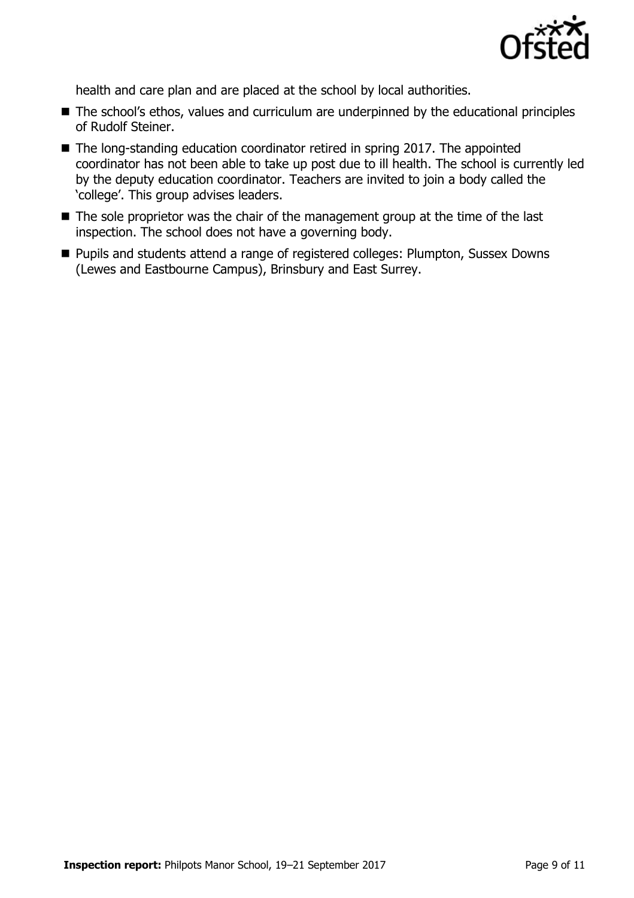

health and care plan and are placed at the school by local authorities.

- The school's ethos, values and curriculum are underpinned by the educational principles of Rudolf Steiner.
- The long-standing education coordinator retired in spring 2017. The appointed coordinator has not been able to take up post due to ill health. The school is currently led by the deputy education coordinator. Teachers are invited to join a body called the 'college'. This group advises leaders.
- $\blacksquare$  The sole proprietor was the chair of the management group at the time of the last inspection. The school does not have a governing body.
- **Pupils and students attend a range of registered colleges: Plumpton, Sussex Downs** (Lewes and Eastbourne Campus), Brinsbury and East Surrey.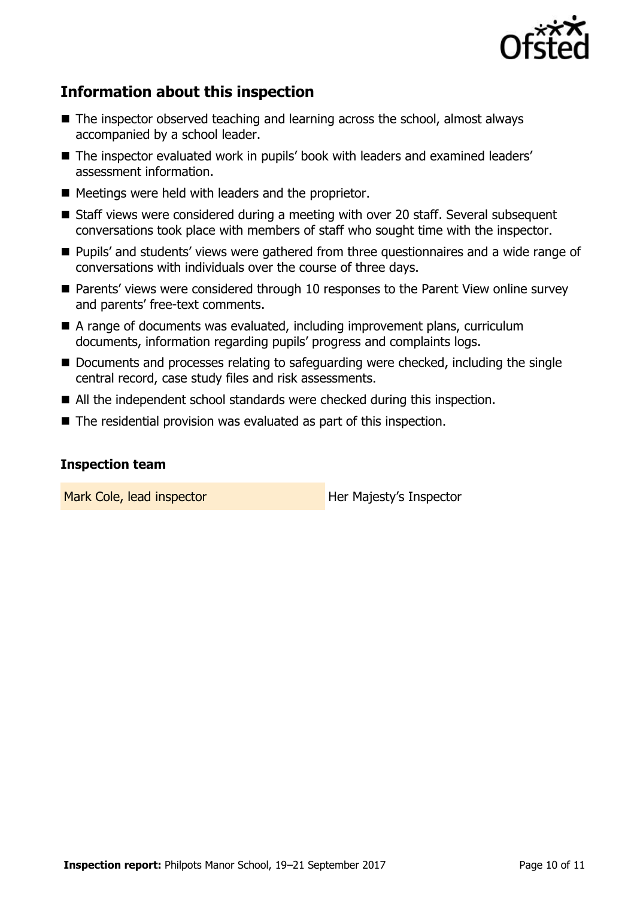

# **Information about this inspection**

- The inspector observed teaching and learning across the school, almost always accompanied by a school leader.
- The inspector evaluated work in pupils' book with leaders and examined leaders' assessment information.
- $\blacksquare$  Meetings were held with leaders and the proprietor.
- Staff views were considered during a meeting with over 20 staff. Several subsequent conversations took place with members of staff who sought time with the inspector.
- Pupils' and students' views were gathered from three questionnaires and a wide range of conversations with individuals over the course of three days.
- Parents' views were considered through 10 responses to the Parent View online survey and parents' free-text comments.
- A range of documents was evaluated, including improvement plans, curriculum documents, information regarding pupils' progress and complaints logs.
- Documents and processes relating to safeguarding were checked, including the single central record, case study files and risk assessments.
- All the independent school standards were checked during this inspection.
- The residential provision was evaluated as part of this inspection.

### **Inspection team**

Mark Cole, lead inspector **Her Majesty's Inspector**